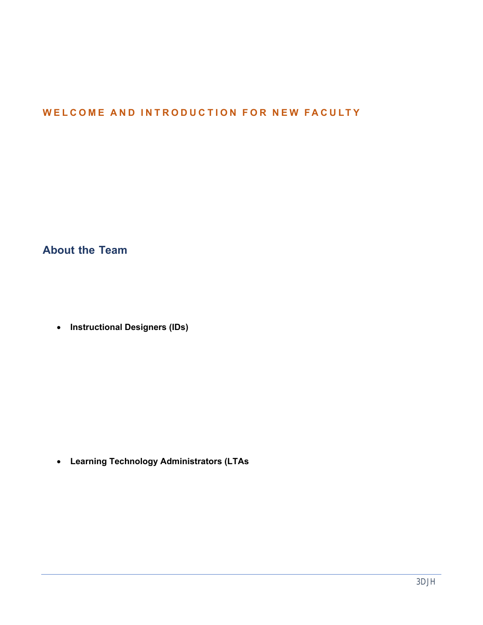# UHCL'S INSTRUCTIONAL DESIGN AND TECHNOLOGY TEAM (IDT)

## WELCOME AND INTRODUCTION FOR NEW FACULTY

## IDT OVERVIEW

Welcome to the University of Houston - Clear Lake! Whether you are new full-time, tenure-track faculty or a new adjunct instructor, our team is here to help you with course design and development, active learning strategies, and instructional technology training and support. This guide should provide a comprehensive overview of our staff and services although, in the interest of brevity, we may leave out some details along the way.

## **About the Team**

Sometimes mistakenly characterized as "the Blackboard people," the OIT's Instructional Design and Technology team members offer a much broader array of support for faculty, staff, and students than this description suggests. Our staff includes two primary categories of team members:

- **Instructional Designers (IDs)** All members of the ID team and the team's supervisor hold, or are working toward, advanced degrees in Instructional Design. The IDs' academic backgrounds include substantial preparation in human learning, active learning, assessment design/ development, curriculum/content design, and other non-technology educational/instructional domains. We consider ourselves to be instructional designers first and instructional technologists second. In addition, our Director currently teaches online graduate-level courses for UHCL, and two of our IDs have teaching experience in higher education outside of UHCL. Given our academic and experiential background, the IDs' roles are diverse and include a wide range of training offerings. We provide training and consulting on active learning, effective teaching practices, course design/development (whether web-assisted or fully online), and strategically employ technology tools to support and enhance teaching and learning effectively.
- **Learning Technology Administrators (LTAs**) Historically, the role of our LTAs has been to coordinate with Blackboard and other vendors to ensure that our instructional technology systems work as intended. They have also always been the first point of support for students with instructional technology concerns. However, the LTAs role has evolved. They now have primary responsibility for assisting both faculty and students with a wide range of technologybased systems (e.g., Blackboard, video, Zoom, Echo360, online proctoring tools, etc.). Both LTAs bring to these tasks years of experience at UHCL with Blackboard and other technologies and in customer support.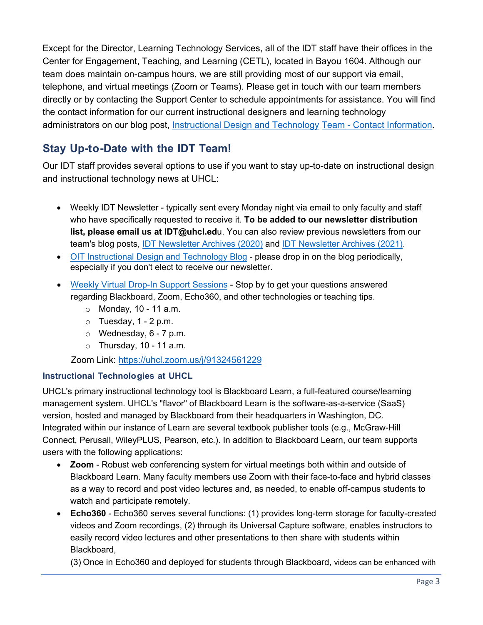Except for the Director, Learning Technology Services, all of the IDT staff have their offices in the Center for Engagement, Teaching, and Learning (CETL), located in Bayou 1604. Although our team does maintain on-campus hours, we are still providing most of our support via email, telephone, and virtual meetings (Zoom or Teams). Please get in touch with our team members directly or by contacting the Support Center to schedule appointments for assistance. You will find the contact information for our current instructional designers [and learning technology](https://uhclblackboardtips.blogspot.com/2018/04/blackboard-support-team-contact.html)  [administrators on our blog](https://uhclblackboardtips.blogspot.com/2018/04/blackboard-support-team-contact.html) post, Instructional Design and Technology Team - Contact Information.

## **Stay Up-to-Date with the IDT Team!**

Our IDT staff provides several options to use if you want to stay up-to-date on instructional design and instructional technology news at UHCL:

- Weekly IDT Newsletter typically sent every Monday night via email to only faculty and staff who have specifically requested to receive it. **To be added to our newsletter distribution [list, please email us at IDT@u](https://uhclblackboardtips.blogspot.com/2020/07/idt-newsletter-archives.html)hcl.ed**u. You can also review previous newsletters from our team's blog posts, IDT Newsletter Archives (2020) and [IDT Newsletter Archives \(2021\).](https://uhclblackboardtips.blogspot.com/2021/01/idt-newsletter-archives-2021.html)
- [OIT Instructional Design and Technology Blo](https://uhclblackboardtips.blogspot.com/)g please drop in on the blog periodically, especially if you don't elect to receive our newsletter.
- [Weekly Virtual Drop-In Support Session](https://uhcl.zoom.us/j/91324561229)s Stop by to get your questions answered regarding Blackboard, Zoom, Echo360, and other technologies or teaching tips.
	- $\circ$  Monday, 10 11 a.m.
	- $\circ$  Tuesday, 1 2 p.m.
	- $\circ$  Wednesday, 6 7 p.m.
	- $\circ$  Thursday, 10 11 a.m.

Zoom Lin[k: https://uhcl.zoom.us/j/913245612](https://uhcl.zoom.us/j/91324561229)29

#### **Instructional Technologies at UHCL**

UHCL's primary instructional technology tool is Blackboard Learn, a full-featured course/learning management system. UHCL's "flavor" of Blackboard Learn is the software-as-a-service (SaaS) version, hosted and managed by Blackboard from their headquarters in Washington, DC. Integrated within our instance of Learn are several textbook publisher tools (e.g., McGraw-Hill Connect, Perusall, WileyPLUS, Pearson, etc.). In addition to Blackboard Learn, our team supports users with the following applications:

- **Zoom** Robust web conferencing system for virtual meetings both within and outside of Blackboard Learn. Many faculty members use Zoom with their face-to-face and hybrid classes as a way to record and post video lectures and, as needed, to enable off-campus students to watch and participate remotely.
- **Echo360** Echo360 serves several functions: (1) provides long-term storage for faculty-created videos and Zoom recordings, (2) through its Universal Capture software, enables instructors to easily record video lectures and other presentations to then share with students within Blackboard,

(3) Once in Echo360 and deployed for students through Blackboard, videos can be enhanced with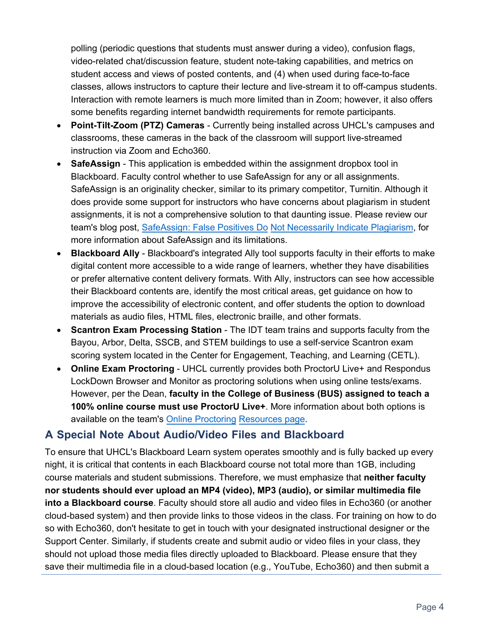polling (periodic questions that students must answer during a video), confusion flags, video-related chat/discussion feature, student note-taking capabilities, and metrics on student access and views of posted contents, and (4) when used during face-to-face classes, allows instructors to capture their lecture and live-stream it to off-campus students. Interaction with remote learners is much more limited than in Zoom; however, it also offers some benefits regarding internet bandwidth requirements for remote participants.

- **Point-Tilt-Zoom (PTZ) Cameras** Currently being installed across UHCL's campuses and classrooms, these cameras in the back of the classroom will support live-streamed instruction via Zoom and Echo360.
- **SafeAssign** This application is embedded within the assignment dropbox tool in Blackboard. Faculty control whether to use SafeAssign for any or all assignments. SafeAssign is an originality checker, similar to its primary competitor, Turnitin. Although it does provide some support for instructors who have concerns about plagiarism in student assignments, it is not a comprehensive solution to that daunti[ng issue. Please review our](https://uhclblackboardtips.blogspot.com/2018/04/safeassign-false-positives-do-not.html)  [team's blog post, SafeAssign: Fa](https://uhclblackboardtips.blogspot.com/2018/04/safeassign-false-positives-do-not.html)lse Positives Do Not Necessarily Indicate Plagiarism, for more information about SafeAssign and its limitations.
- **Blackboard Ally** Blackboard's integrated Ally tool supports faculty in their efforts to make digital content more accessible to a wide range of learners, whether they have disabilities or prefer alternative content delivery formats. With Ally, instructors can see how accessible their Blackboard contents are, identify the most critical areas, get guidance on how to improve the accessibility of electronic content, and offer students the option to download materials as audio files, HTML files, electronic braille, and other formats.
- **Scantron Exam Processing Station** The IDT team trains and supports faculty from the Bayou, Arbor, Delta, SSCB, and STEM buildings to use a self-service Scantron exam scoring system located in the Center for Engagement, Teaching, and Learning (CETL).
- **Online Exam Proctoring** UHCL currently provides both ProctorU Live+ and Respondus LockDown Browser and Monitor as proctoring solutions when using online tests/exams. However, per the Dean, **faculty in the College of Business (BUS) assi[gned to teach a](https://www.uhcl.edu/computing/course-development/online-proctoring-resources)  [100% online c](https://www.uhcl.edu/computing/course-development/online-proctoring-resources)ourse must use ProctorU Live+**. More information about both options is available on the team's Online Proctoring Resources page.

## **A Special Note About Audio/Video Files and Blackboard**

To ensure that UHCL's Blackboard Learn system operates smoothly and is fully backed up every night, it is critical that contents in each Blackboard course not total more than 1GB, including course materials and student submissions. Therefore, we must emphasize that **neither faculty nor students should ever upload an MP4 (video), MP3 (audio), or similar multimedia file into a Blackboard course**. Faculty should store all audio and video files in Echo360 (or another cloud-based system) and then provide links to those videos in the class. For training on how to do so with Echo360, don't hesitate to get in touch with your designated instructional designer or the Support Center. Similarly, if students create and submit audio or video files in your class, they should not upload those media files directly uploaded to Blackboard. Please ensure that they save their multimedia file in a cloud-based location (e.g., YouTube, Echo360) and then submit a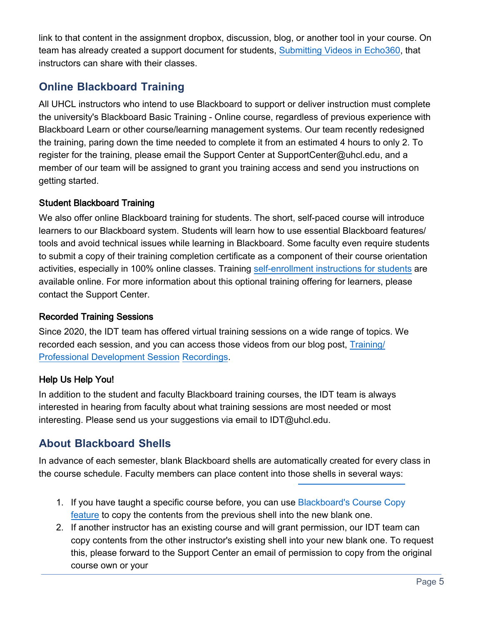link to that content in the assignment dropbox, discussion, blog, or another tool in your course. On team has already created a support document for students, [Submitting Videos in Echo360,](https://www.uhcl.edu/computing/course-development/documents/support/general/student-echo360-videos-20210329.pdf) that instructors can share with their classes.

## **Online Blackboard Training**

All UHCL instructors who intend to use Blackboard to support or deliver instruction must complete the university's Blackboard Basic Training - Online course, regardless of previous experience with Blackboard Learn or other course/learning management systems. Our team recently redesigned the training, paring down the time needed to complete it from an estimated 4 hours to only 2. To register for the training, please email the Support Center at SupportCenter@uhcl.edu, and a member of our team will be assigned to grant you training access and send you instructions on getting started.

#### Student Blackboard Training

We also offer online Blackboard training for students. The short, self-paced course will introduce learners to our Blackboard system. Students will learn how to use essential Blackboard features/ tools and avoid technical issues while learning in Blackboard. Some faculty even require students to submit a copy of their training completion certificate as a component of their course orientation activities, especially in 100% online classes. Training [self-enrollment instructions for students](https://www.uhcl.edu/computing/course-development/documents/support/general/student-bbtrain-enroll-20200720.pdf) are available online. For more information about this optional training offering for learners, please contact the Support Center.

#### Recorded Training Sessions

Since 2020, the IDT team has offered virtual training ses[sions on a wide range of topics. We](https://uhclblackboardtips.blogspot.com/2020/07/trainingprofessional-development.html)  [recorded ea](https://uhclblackboardtips.blogspot.com/2020/07/trainingprofessional-development.html)ch session, and you can access those videos from our blog post, Training/ Professional Development Session Recordings.

#### Help Us Help You!

In addition to the student and faculty Blackboard training courses, the IDT team is always interested in hearing from faculty about what training sessions are most needed or most interesting. Please send us your suggestions via email to IDT@uhcl.edu.

## **About Blackboard Shells**

In advance of each semester, blank Blackboard shells are automatically created for every class in the course schedule. Faculty members can place content into those shells in several ways:

- 1. [If you have taught a specific course before, you can use Blackboard's Course Copy](https://www.uhcl.edu/computing/course-development/documents/support/faculty/course-copy-instructor-rev20200611.pdf)  feature to copy the contents from the previous shell into the new blank one.
- 2. If another instructor has an existing course and will grant permission, our IDT team can copy contents from the other instructor's existing shell into your new blank one. To request this, please forward to the Support Center an email of permission to copy from the original course own or your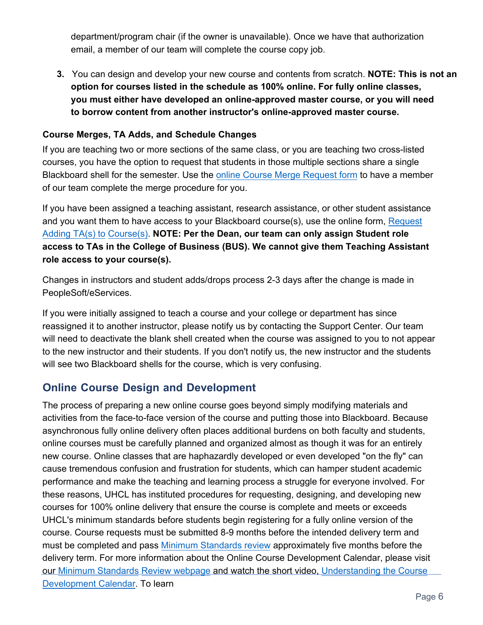department/program chair (if the owner is unavailable). Once we have that authorization email, a member of our team will complete the course copy job.

**3.** You can design and develop your new course and contents from scratch. **NOTE: This is not an option for courses listed in the schedule as 100% online. For fully online classes, you must either have developed an online-approved master course, or you will need to borrow content from another instructor's online-approved master course.**

#### **Course Merges, TA Adds, and Schedule Changes**

If you are teaching two or more sections of the same class, or you are teaching two cross-listed courses, you have the option to request that students in those multiple sections share a single Blackboard shell for the semester. Use the [online Course Merge Request form](https://forms.office.com/Pages/ResponsePage.aspx?id=mqQ_WZOwfECfZx9Qt3y0MoApLamh7pBNoiAJv0gDLadUNlI5TzhQT1AyUjI5UFdFVFE2NUxWMDRYVyQlQCN0PWcu) to have a member of our team complete the merge procedure for you.

If you have been assigned a teaching assistant, research assistance, or other student assistance and you want them to have access to your Blackboard course(s), use the online form, Request [Adding TA](https://forms.office.com/Pages/ResponsePage.aspx?id=mqQ_WZOwfECfZx9Qt3y0MoApLamh7pBNoiAJv0gDLadUOEZMWVA1VldOSFNaWVFLMDlGWDBRWExOWiQlQCN0PWcu)(s) to Course(s). **NOTE: Per the Dean, our team can only assign Student role access to TAs in the College of Business (BUS). We cannot give them Teaching Assistant role access to your course(s).** 

Changes in instructors and student adds/drops process 2-3 days after the change is made in PeopleSoft/eServices.

If you were initially assigned to teach a course and your college or department has since reassigned it to another instructor, please notify us by contacting the Support Center. Our team will need to deactivate the blank shell created when the course was assigned to you to not appear to the new instructor and their students. If you don't notify us, the new instructor and the students will see two Blackboard shells for the course, which is very confusing.

## **Online Course Design and Development**

The process of preparing a new online course goes beyond simply modifying materials and activities from the face-to-face version of the course and putting those into Blackboard. Because asynchronous fully online delivery often places additional burdens on both faculty and students, online courses must be carefully planned and organized almost as though it was for an entirely new course. Online classes that are haphazardly developed or even developed "on the fly" can cause tremendous confusion and frustration for students, which can hamper student academic performance and make the teaching and learning process a struggle for everyone involved. For these reasons, UHCL has instituted procedures for requesting, designing, and developing new courses for 100% online delivery that ensure the course is complete and meets or exceeds UHCL's minimum standards before students begin registering for a fully online version of the course. Course requests must be submitted 8-9 months before the intended [delivery term and](https://www.uhcl.edu/computing/course-development/minimum-standards-review)  [must be comple](https://www.uhcl.edu/computing/course-development/minimum-standards-review)ted and pass [Minimum Standards review](https://www.uhcl.edu/computing/course-development/documents/support/faculty/minstandards-tipsheet-20200721.docx) [approximately five months bef](https://video.uhcl.edu/ID_Team/understand-coursedev-cal.html)ore the delivery term. For more information about the Online Course Development Calendar, please visit our Minimum Standards Review webpage and watch the short video, Understanding the Course Development Calendar. To learn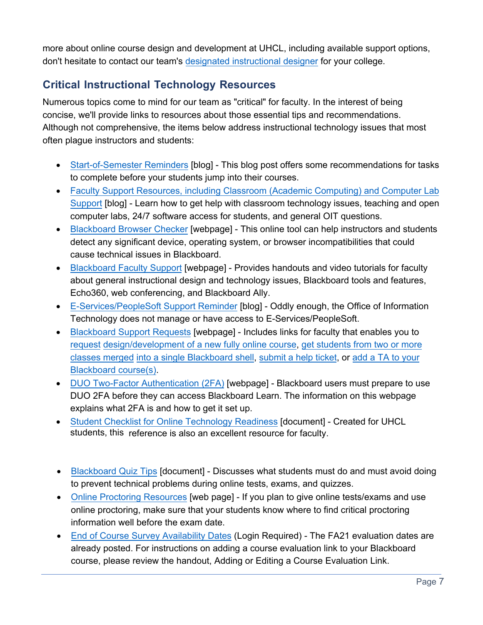more about online course design and development at UHCL, including available support options, don't hesitate to contact ou[r team's designated instructional](https://uhclblackboardtips.blogspot.com/2018/04/blackboard-support-team-contact.html) designer for your college.

## **Critical Instructional Technology Resources**

Numerous topics come to mind for our team as "critical" for faculty. In the interest of being concise, we'll provide links to resources about those essential tips and recommendations. Although not comprehensive, the items below address instructional technology issues that most often [plague instructors and studen](https://uhclblackboardtips.blogspot.com/2020/08/blackboard-tips-and-reminders-for-new.html)ts:

- Start-of-Semester Reminders [blog] This blog post offers some recommendations for tasks [to complete before your students jump into their courses.](https://uhclblackboardtips.blogspot.com/2021/08/oit-faculty-technology-support.html)
- Faculty Support Resources, including Classroom (Academic Computing) and Computer Lab Support [blog] - Learn how to get help with classroom technology issues, teaching and open [computer labs, 24/7 softwa](https://help.blackboard.com/Learn/Student/Getting_Started/Browser_Support/Browser_Checker)re access for students, and general OIT questions.
- Blackboard Browser Checker [webpage] This online tool can help instructors and students detect any significant device, operating system, or browser incompatibilities that could [cause technical issues in B](https://www.uhcl.edu/computing/course-development/faculty)lackboard.
- Blackboard Faculty Support [webpage] Provides handouts and video tutorials for faculty about general instructional design and technology issues, Blackboard tools and features, [Echo360, web conferencing, and Blac](https://uhclblackboardtips.blogspot.com/2018/05/e-servicespeoplesoft-support-reminder.html)kboard Ally.
- E-Services/PeopleSoft Support Reminder [blog] Oddly enough, the Office of I[nformation](https://forms.office.com/Pages/ResponsePage.aspx?id=mqQ_WZOwfECfZx9Qt3y0MoApLamh7pBNoiAJv0gDLadUMzFLQUFHUVgyNkdOVUdDWVhGQTZBM0IySSQlQCN0PWcu)  [Technology does not manag](https://www.uhcl.edu/computing/course-development/blackboard-support-requests)e or have access to E-Services/PeopleSoft.
- [Blackboard Support Requests](https://forms.office.com/Pages/ResponsePage.aspx?id=mqQ_WZOwfECfZx9Qt3y0MoApLamh7pBNoiAJv0gDLadUMzFLQUFHUVgyNkdOVUdDWVhGQTZBM0IySSQlQCN0PWcu) [webpage] In[cludes links for faculty that enables you to](https://forms.office.com/Pages/ResponsePage.aspx?id=mqQ_WZOwfECfZx9Qt3y0MoApLamh7pBNoiAJv0gDLadUNlI5TzhQT1AyUjI5UFdFVFE2NUxWMDRYVyQlQCN0PWcu)  [request design/developmen](https://forms.office.com/Pages/ResponsePage.aspx?id=mqQ_WZOwfECfZx9Qt3y0MoApLamh7pBNoiAJv0gDLadUNlI5TzhQT1AyUjI5UFdFVFE2NUxWMDRYVyQlQCN0PWcu)t of a new fully online course, get students from two or more classes merged [into a single Blackboard shell,](https://forms.office.com/Pages/ResponsePage.aspx?id=mqQ_WZOwfECfZx9Qt3y0MoApLamh7pBNoiAJv0gDLadUOEZMWVA1VldOSFNaWVFLMDlGWDBRWExOWiQlQCN0PWcu) [submit a help ticket](https://footprints12.uhcl.edu/)[, or](https://forms.office.com/Pages/ResponsePage.aspx?id=mqQ_WZOwfECfZx9Qt3y0MoApLamh7pBNoiAJv0gDLadUOEZMWVA1VldOSFNaWVFLMDlGWDBRWExOWiQlQCN0PWcu) add a TA to your Blackboard course(s).
- DUO Two-Factor Authentication (2FA) [webpage] Blackboard users must prepare to use [DUO 2FA before they can access Blackboard L](https://www.uhcl.edu/computing/course-development/documents/support/general/student-tech-checklist-draft-20200718-final.pdf)earn. The information on this webpage explains what 2FA is and how to get it set up.
- [Student Checklist fo](https://www.uhcl.edu/computing/course-development/documents/support/general/bb9-quiz-tips.pdf)r Online Technology Readiness [document] Created for UHCL students, this reference is also an excellent resource for faculty.
- Blackboard Quiz Tips [document] Discusses what students must do and must avoid doing [to prevent technical problems during](https://apps.uhcl.edu/OnlineEvals/Auth/Login?ReturnUrl=%2fOnlineEvals) online tests, exams, and quizzes.
- Online Proctoring Resources [web page] If you plan to give online tests/exams and use online proctoring, make sure that your students know where to find critical proctoring information well before the exam date.
- End of Course Survey Availability Dates (Login Required) The FA21 evaluation dates are already posted. For instructions on adding a course evaluation link to your Blackboard course, please review the handout, Adding or Editing a Course Evaluation Link.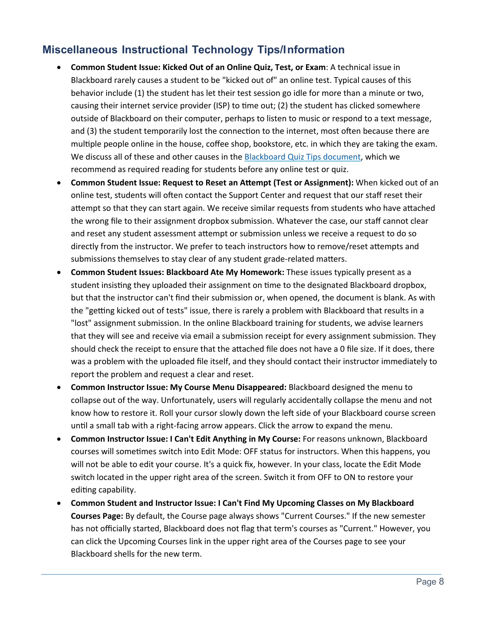## **Miscellaneous Instructional Technology Tips/Information**

- **Common Student Issue: Kicked Out of an Online Quiz, Test, or Exam**: A technical issue in Blackboard rarely causes a student to be "kicked out of" an online test. Typical causes of this behavior include (1) the student has let their test session go idle for more than a minute or two, causing their internet service provider (ISP) to time out; (2) the student has clicked somewhere outside of Blackboard on their computer, perhaps to listen to music or respond to a text message, and (3) the student temporarily lost the connection to the internet, most often because there are multiple people online in the house, coffee shop, bookstore, etc. in which they are taking the exam. We discuss all of these and other causes in the [Blackboard Quiz Tips document,](https://www.uhcl.edu/computing/course-development/documents/support/general/bb9-quiz-tips.pdf) which we recommend as required reading for students before any online test or quiz.
- **Common Student Issue: Request to Reset an Attempt (Test or Assignment):** When kicked out of an online test, students will often contact the Support Center and request that our staff reset their attempt so that they can start again. We receive similar requests from students who have attached the wrong file to their assignment dropbox submission. Whatever the case, our staff cannot clear and reset any student assessment attempt or submission unless we receive a request to do so directly from the instructor. We prefer to teach instructors how to remove/reset attempts and submissions themselves to stay clear of any student grade-related matters.
- **Common Student Issues: Blackboard Ate My Homework:** These issues typically present as a student insisting they uploaded their assignment on time to the designated Blackboard dropbox, but that the instructor can't find their submission or, when opened, the document is blank. As with the "getting kicked out of tests" issue, there is rarely a problem with Blackboard that results in a "lost" assignment submission. In the online Blackboard training for students, we advise learners that they will see and receive via email a submission receipt for every assignment submission. They should check the receipt to ensure that the attached file does not have a 0 file size. If it does, there was a problem with the uploaded file itself, and they should contact their instructor immediately to report the problem and request a clear and reset.
- **Common Instructor Issue: My Course Menu Disappeared:** Blackboard designed the menu to collapse out of the way. Unfortunately, users will regularly accidentally collapse the menu and not know how to restore it. Roll your cursor slowly down the left side of your Blackboard course screen until a small tab with a right-facing arrow appears. Click the arrow to expand the menu.
- **Common Instructor Issue: I Can't Edit Anything in My Course:** For reasons unknown, Blackboard courses will sometimes switch into Edit Mode: OFF status for instructors. When this happens, you will not be able to edit your course. It's a quick fix, however. In your class, locate the Edit Mode switch located in the upper right area of the screen. Switch it from OFF to ON to restore your editing capability.
- **Common Student and Instructor Issue: I Can't Find My Upcoming Classes on My Blackboard Courses Page:** By default, the Course page always shows "Current Courses." If the new semester has not officially started, Blackboard does not flag that term's courses as "Current." However, you can click the Upcoming Courses link in the upper right area of the Courses page to see your Blackboard shells for the new term.